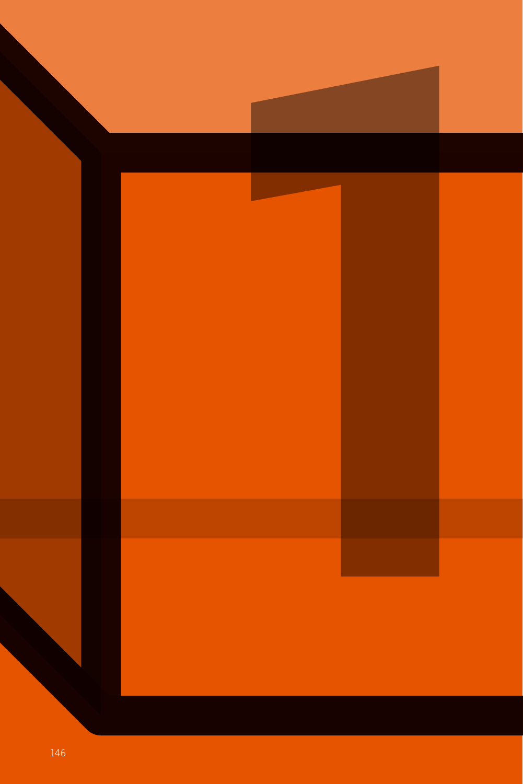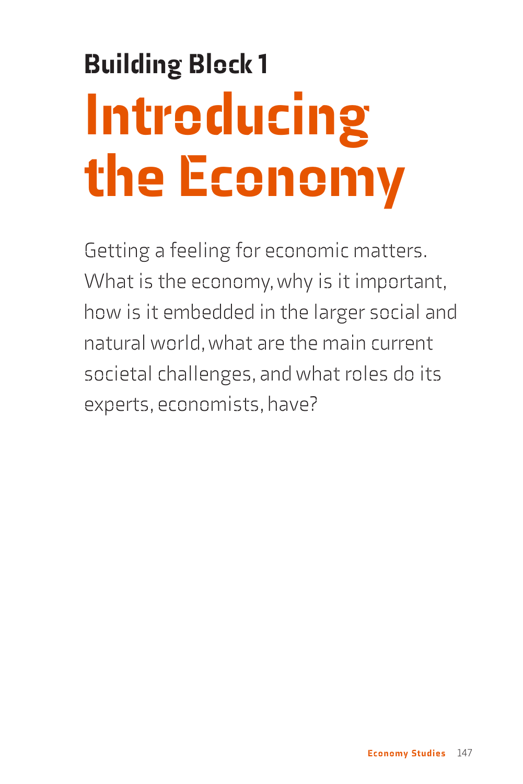# Building Block 1 Introducing the Economy

Getting a feeling for economic matters. What is the economy, why is it important, how is it embedded in the larger social and natural world, what are the main current societal challenges, and what roles do its experts, economists, have?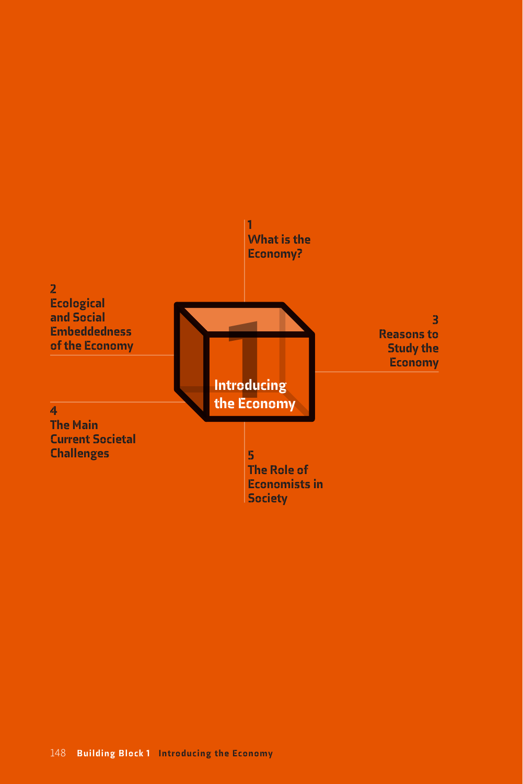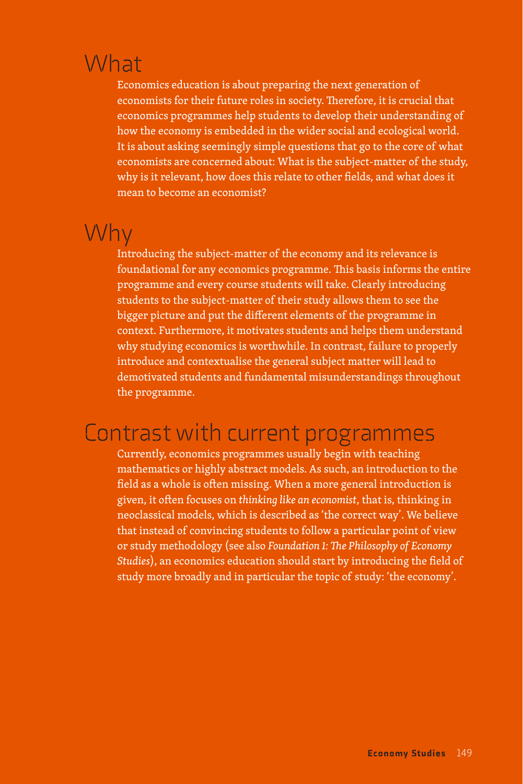### What

Economics education is about preparing the next generation of economists for their future roles in society. Therefore, it is crucial that economics programmes help students to develop their understanding of how the economy is embedded in the wider social and ecological world. It is about asking seemingly simple questions that go to the core of what economists are concerned about: What is the subject-matter of the study, why is it relevant, how does this relate to other fields, and what does it mean to become an economist?

#### Why

Introducing the subject-matter of the economy and its relevance is foundational for any economics programme. This basis informs the entire programme and every course students will take. Clearly introducing students to the subject-matter of their study allows them to see the bigger picture and put the different elements of the programme in context. Furthermore, it motivates students and helps them understand why studying economics is worthwhile. In contrast, failure to properly introduce and contextualise the general subject matter will lead to demotivated students and fundamental misunderstandings throughout the programme.

#### Contrast with current programmes

Currently, economics programmes usually begin with teaching mathematics or highly abstract models. As such, an introduction to the field as a whole is often missing. When a more general introduction is given, it often focuses on *thinking like an economist*, that is, thinking in neoclassical models, which is described as 'the correct way'. We believe that instead of convincing students to follow a particular point of view or study methodology (see also *Foundation 1: The Philosophy of Economy Studies*), an economics education should start by introducing the field of study more broadly and in particular the topic of study: 'the economy'.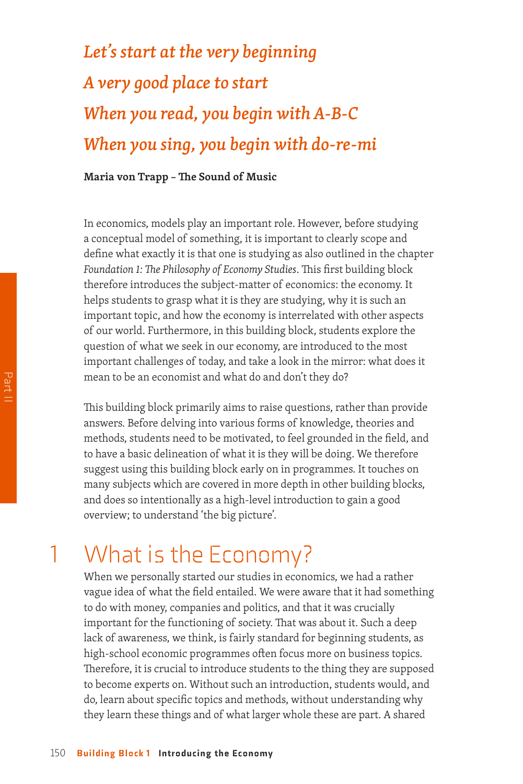# *Let's start at the very beginning A very good place to start When you read, you begin with A-B-C When you sing, you begin with do-re-mi*

#### **Maria von Trapp – The Sound of Music**

In economics, models play an important role. However, before studying a conceptual model of something, it is important to clearly scope and define what exactly it is that one is studying as also outlined in the chapter *Foundation 1: The Philosophy of Economy Studies*. This first building block therefore introduces the subject-matter of economics: the economy. It helps students to grasp what it is they are studying, why it is such an important topic, and how the economy is interrelated with other aspects of our world. Furthermore, in this building block, students explore the question of what we seek in our economy, are introduced to the most important challenges of today, and take a look in the mirror: what does it mean to be an economist and what do and don't they do?

This building block primarily aims to raise questions, rather than provide answers. Before delving into various forms of knowledge, theories and methods, students need to be motivated, to feel grounded in the field, and to have a basic delineation of what it is they will be doing. We therefore suggest using this building block early on in programmes. It touches on many subjects which are covered in more depth in other building blocks, and does so intentionally as a high-level introduction to gain a good overview; to understand 'the big picture'.

#### 1 What is the Economy?

When we personally started our studies in economics, we had a rather vague idea of what the field entailed. We were aware that it had something to do with money, companies and politics, and that it was crucially important for the functioning of society. That was about it. Such a deep lack of awareness, we think, is fairly standard for beginning students, as high-school economic programmes often focus more on business topics. Therefore, it is crucial to introduce students to the thing they are supposed to become experts on. Without such an introduction, students would, and do, learn about specific topics and methods, without understanding why they learn these things and of what larger whole these are part. A shared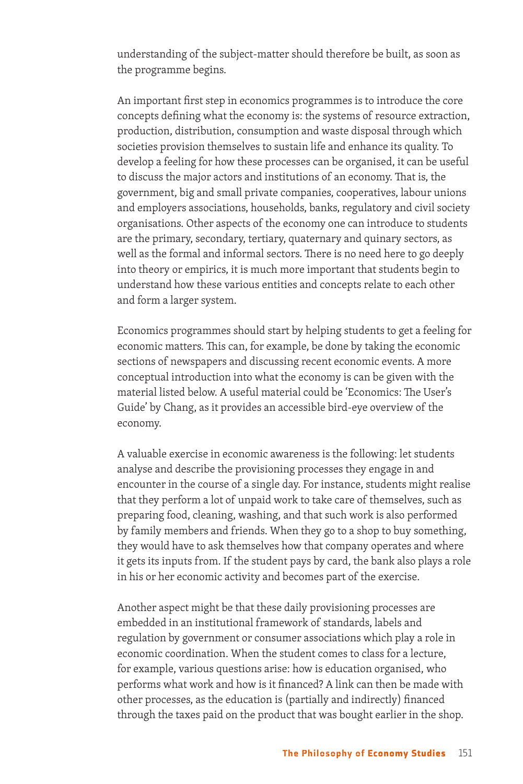understanding of the subject-matter should therefore be built, as soon as the programme begins.

An important first step in economics programmes is to introduce the core concepts defining what the economy is: the systems of resource extraction, production, distribution, consumption and waste disposal through which societies provision themselves to sustain life and enhance its quality. To develop a feeling for how these processes can be organised, it can be useful to discuss the major actors and institutions of an economy. That is, the government, big and small private companies, cooperatives, labour unions and employers associations, households, banks, regulatory and civil society organisations. Other aspects of the economy one can introduce to students are the primary, secondary, tertiary, quaternary and quinary sectors, as well as the formal and informal sectors. There is no need here to go deeply into theory or empirics, it is much more important that students begin to understand how these various entities and concepts relate to each other and form a larger system.

Economics programmes should start by helping students to get a feeling for economic matters. This can, for example, be done by taking the economic sections of newspapers and discussing recent economic events. A more conceptual introduction into what the economy is can be given with the material listed below. A useful material could be 'Economics: The User's Guide' by Chang, as it provides an accessible bird-eye overview of the economy.

A valuable exercise in economic awareness is the following: let students analyse and describe the provisioning processes they engage in and encounter in the course of a single day. For instance, students might realise that they perform a lot of unpaid work to take care of themselves, such as preparing food, cleaning, washing, and that such work is also performed by family members and friends. When they go to a shop to buy something, they would have to ask themselves how that company operates and where it gets its inputs from. If the student pays by card, the bank also plays a role in his or her economic activity and becomes part of the exercise.

Another aspect might be that these daily provisioning processes are embedded in an institutional framework of standards, labels and regulation by government or consumer associations which play a role in economic coordination. When the student comes to class for a lecture, for example, various questions arise: how is education organised, who performs what work and how is it financed? A link can then be made with other processes, as the education is (partially and indirectly) financed through the taxes paid on the product that was bought earlier in the shop.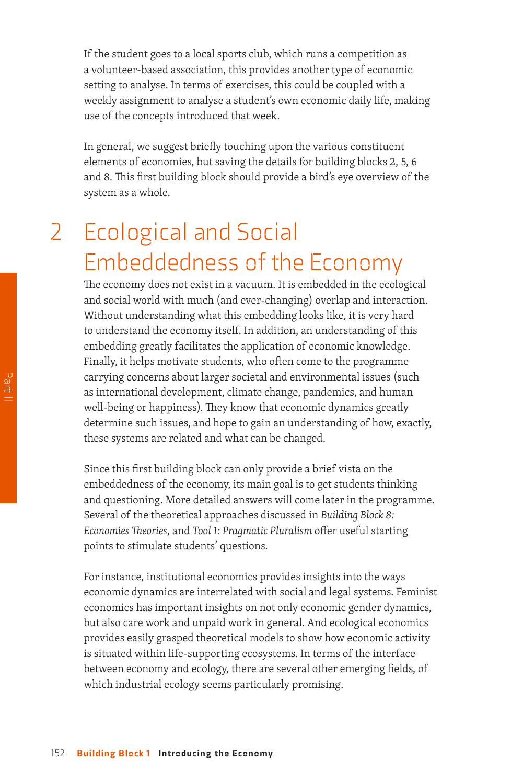If the student goes to a local sports club, which runs a competition as a volunteer-based association, this provides another type of economic setting to analyse. In terms of exercises, this could be coupled with a weekly assignment to analyse a student's own economic daily life, making use of the concepts introduced that week.

In general, we suggest briefly touching upon the various constituent elements of economies, but saving the details for building blocks 2, 5, 6 and 8. This first building block should provide a bird's eye overview of the system as a whole.

# 2 Ecological and Social Embeddedness of the Economy

The economy does not exist in a vacuum. It is embedded in the ecological and social world with much (and ever-changing) overlap and interaction. Without understanding what this embedding looks like, it is very hard to understand the economy itself. In addition, an understanding of this embedding greatly facilitates the application of economic knowledge. Finally, it helps motivate students, who often come to the programme carrying concerns about larger societal and environmental issues (such as international development, climate change, pandemics, and human well-being or happiness). They know that economic dynamics greatly determine such issues, and hope to gain an understanding of how, exactly, these systems are related and what can be changed.

Since this first building block can only provide a brief vista on the embeddedness of the economy, its main goal is to get students thinking and questioning. More detailed answers will come later in the programme. Several of the theoretical approaches discussed in *Building Block 8: Economies Theories*, and *Tool 1: Pragmatic Pluralism* offer useful starting points to stimulate students' questions.

For instance, institutional economics provides insights into the ways economic dynamics are interrelated with social and legal systems. Feminist economics has important insights on not only economic gender dynamics, but also care work and unpaid work in general. And ecological economics provides easily grasped theoretical models to show how economic activity is situated within life-supporting ecosystems. In terms of the interface between economy and ecology, there are several other emerging fields, of which industrial ecology seems particularly promising.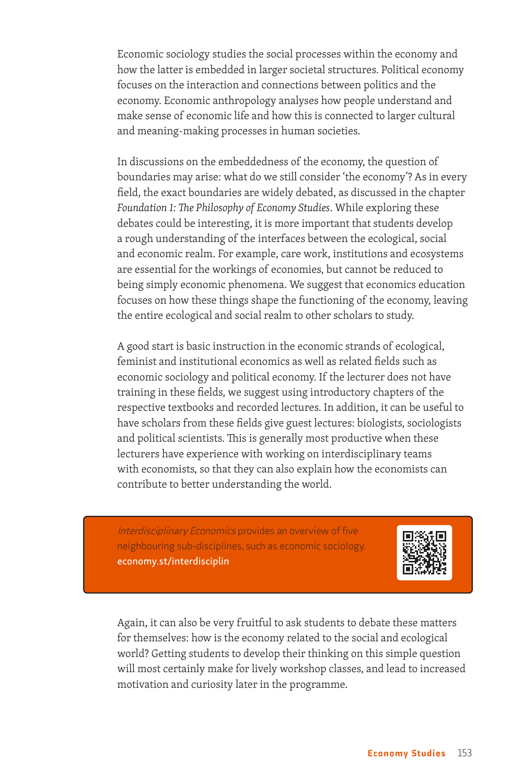Economic sociology studies the social processes within the economy and how the latter is embedded in larger societal structures. Political economy focuses on the interaction and connections between politics and the economy. Economic anthropology analyses how people understand and make sense of economic life and how this is connected to larger cultural and meaning-making processes in human societies.

In discussions on the embeddedness of the economy, the question of boundaries may arise: what do we still consider 'the economy'? As in every field, the exact boundaries are widely debated, as discussed in the chapter *Foundation 1: The Philosophy of Economy Studies*. While exploring these debates could be interesting, it is more important that students develop a rough understanding of the interfaces between the ecological, social and economic realm. For example, care work, institutions and ecosystems are essential for the workings of economies, but cannot be reduced to being simply economic phenomena. We suggest that economics education focuses on how these things shape the functioning of the economy, leaving the entire ecological and social realm to other scholars to study.

A good start is basic instruction in the economic strands of ecological, feminist and institutional economics as well as related fields such as economic sociology and political economy. If the lecturer does not have training in these fields, we suggest using introductory chapters of the respective textbooks and recorded lectures. In addition, it can be useful to have scholars from these fields give guest lectures: biologists, sociologists and political scientists. This is generally most productive when these lecturers have experience with working on interdisciplinary teams with economists, so that they can also explain how the economists can contribute to better understanding the world.

Interdisciplinary Economics provides an overview of five neighbouring sub-disciplines, such as economic sociology. economy.st/interdisciplin



Again, it can also be very fruitful to ask students to debate these matters for themselves: how is the economy related to the social and ecological world? Getting students to develop their thinking on this simple question will most certainly make for lively workshop classes, and lead to increased motivation and curiosity later in the programme.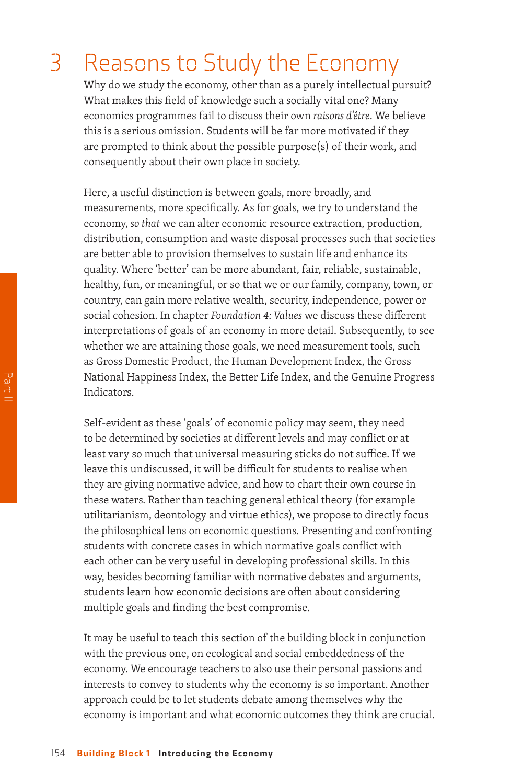### 3 Reasons to Study the Economy

Why do we study the economy, other than as a purely intellectual pursuit? What makes this field of knowledge such a socially vital one? Many economics programmes fail to discuss their own *raisons d'être*. We believe this is a serious omission. Students will be far more motivated if they are prompted to think about the possible purpose(s) of their work, and consequently about their own place in society.

Here, a useful distinction is between goals, more broadly, and measurements, more specifically. As for goals, we try to understand the economy, *so that* we can alter economic resource extraction, production, distribution, consumption and waste disposal processes such that societies are better able to provision themselves to sustain life and enhance its quality. Where 'better' can be more abundant, fair, reliable, sustainable, healthy, fun, or meaningful, or so that we or our family, company, town, or country, can gain more relative wealth, security, independence, power or social cohesion. In chapter *Foundation 4: Values* we discuss these different interpretations of goals of an economy in more detail. Subsequently, to see whether we are attaining those goals, we need measurement tools, such as Gross Domestic Product, the Human Development Index, the Gross National Happiness Index, the Better Life Index, and the Genuine Progress Indicators.

Self-evident as these 'goals' of economic policy may seem, they need to be determined by societies at different levels and may conflict or at least vary so much that universal measuring sticks do not suffice. If we leave this undiscussed, it will be difficult for students to realise when they are giving normative advice, and how to chart their own course in these waters. Rather than teaching general ethical theory (for example utilitarianism, deontology and virtue ethics), we propose to directly focus the philosophical lens on economic questions. Presenting and confronting students with concrete cases in which normative goals conflict with each other can be very useful in developing professional skills. In this way, besides becoming familiar with normative debates and arguments, students learn how economic decisions are often about considering multiple goals and finding the best compromise.

It may be useful to teach this section of the building block in conjunction with the previous one, on ecological and social embeddedness of the economy. We encourage teachers to also use their personal passions and interests to convey to students why the economy is so important. Another approach could be to let students debate among themselves why the economy is important and what economic outcomes they think are crucial.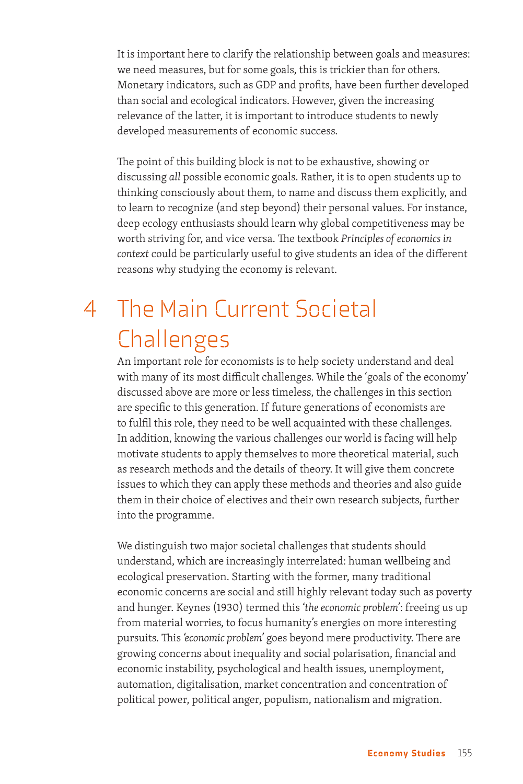It is important here to clarify the relationship between goals and measures: we need measures, but for some goals, this is trickier than for others. Monetary indicators, such as GDP and profits, have been further developed than social and ecological indicators. However, given the increasing relevance of the latter, it is important to introduce students to newly developed measurements of economic success.

The point of this building block is not to be exhaustive, showing or discussing *all* possible economic goals. Rather, it is to open students up to thinking consciously about them, to name and discuss them explicitly, and to learn to recognize (and step beyond) their personal values. For instance, deep ecology enthusiasts should learn why global competitiveness may be worth striving for, and vice versa. The textbook *Principles of economics in context* could be particularly useful to give students an idea of the different reasons why studying the economy is relevant.

# 4 The Main Current Societal Challenges

An important role for economists is to help society understand and deal with many of its most difficult challenges. While the 'goals of the economy' discussed above are more or less timeless, the challenges in this section are specific to this generation. If future generations of economists are to fulfil this role, they need to be well acquainted with these challenges. In addition, knowing the various challenges our world is facing will help motivate students to apply themselves to more theoretical material, such as research methods and the details of theory. It will give them concrete issues to which they can apply these methods and theories and also guide them in their choice of electives and their own research subjects, further into the programme.

We distinguish two major societal challenges that students should understand, which are increasingly interrelated: human wellbeing and ecological preservation. Starting with the former, many traditional economic concerns are social and still highly relevant today such as poverty and hunger. Keynes (1930) termed this *'the economic problem'*: freeing us up from material worries, to focus humanity's energies on more interesting pursuits. This *'economic problem'* goes beyond mere productivity. There are growing concerns about inequality and social polarisation, financial and economic instability, psychological and health issues, unemployment, automation, digitalisation, market concentration and concentration of political power, political anger, populism, nationalism and migration.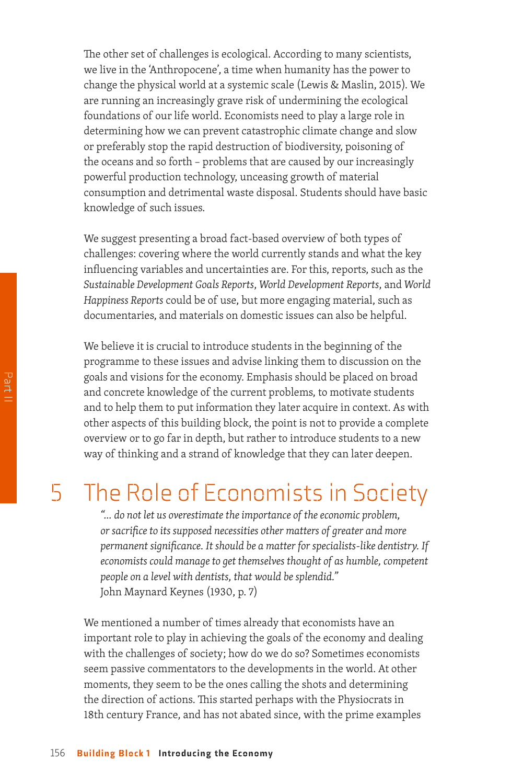The other set of challenges is ecological. According to many scientists, we live in the 'Anthropocene', a time when humanity has the power to change the physical world at a systemic scale (Lewis & Maslin, 2015). We are running an increasingly grave risk of undermining the ecological foundations of our life world. Economists need to play a large role in determining how we can prevent catastrophic climate change and slow or preferably stop the rapid destruction of biodiversity, poisoning of the oceans and so forth – problems that are caused by our increasingly powerful production technology, unceasing growth of material consumption and detrimental waste disposal. Students should have basic knowledge of such issues.

We suggest presenting a broad fact-based overview of both types of challenges: covering where the world currently stands and what the key influencing variables and uncertainties are. For this, reports, such as the *Sustainable Development Goals Reports*, *World Development Reports*, and *World Happiness Reports* could be of use, but more engaging material, such as documentaries, and materials on domestic issues can also be helpful.

We believe it is crucial to introduce students in the beginning of the programme to these issues and advise linking them to discussion on the goals and visions for the economy. Emphasis should be placed on broad and concrete knowledge of the current problems, to motivate students and to help them to put information they later acquire in context. As with other aspects of this building block, the point is not to provide a complete overview or to go far in depth, but rather to introduce students to a new way of thinking and a strand of knowledge that they can later deepen.

# 5 The Role of Economists in Society

*"… do not let us overestimate the importance of the economic problem, or sacrifice to its supposed necessities other matters of greater and more permanent significance. It should be a matter for specialists-like dentistry. If economists could manage to get themselves thought of as humble, competent people on a level with dentists, that would be splendid."*  John Maynard Keynes (1930, p. 7)

We mentioned a number of times already that economists have an important role to play in achieving the goals of the economy and dealing with the challenges of society; how do we do so? Sometimes economists seem passive commentators to the developments in the world. At other moments, they seem to be the ones calling the shots and determining the direction of actions. This started perhaps with the Physiocrats in 18th century France, and has not abated since, with the prime examples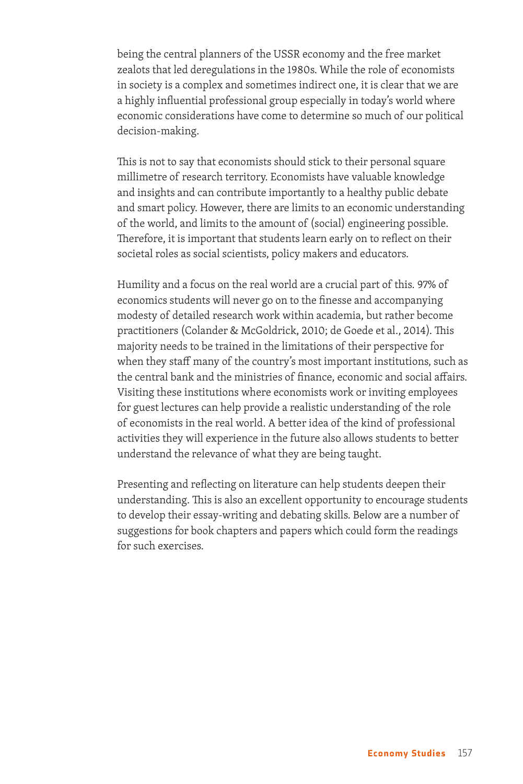being the central planners of the USSR economy and the free market zealots that led deregulations in the 1980s. While the role of economists in society is a complex and sometimes indirect one, it is clear that we are a highly influential professional group especially in today's world where economic considerations have come to determine so much of our political decision-making.

This is not to say that economists should stick to their personal square millimetre of research territory. Economists have valuable knowledge and insights and can contribute importantly to a healthy public debate and smart policy. However, there are limits to an economic understanding of the world, and limits to the amount of (social) engineering possible. Therefore, it is important that students learn early on to reflect on their societal roles as social scientists, policy makers and educators.

Humility and a focus on the real world are a crucial part of this. 97% of economics students will never go on to the finesse and accompanying modesty of detailed research work within academia, but rather become practitioners (Colander & McGoldrick, 2010; de Goede et al., 2014). This majority needs to be trained in the limitations of their perspective for when they staff many of the country's most important institutions, such as the central bank and the ministries of finance, economic and social affairs. Visiting these institutions where economists work or inviting employees for guest lectures can help provide a realistic understanding of the role of economists in the real world. A better idea of the kind of professional activities they will experience in the future also allows students to better understand the relevance of what they are being taught.

Presenting and reflecting on literature can help students deepen their understanding. This is also an excellent opportunity to encourage students to develop their essay-writing and debating skills. Below are a number of suggestions for book chapters and papers which could form the readings for such exercises.